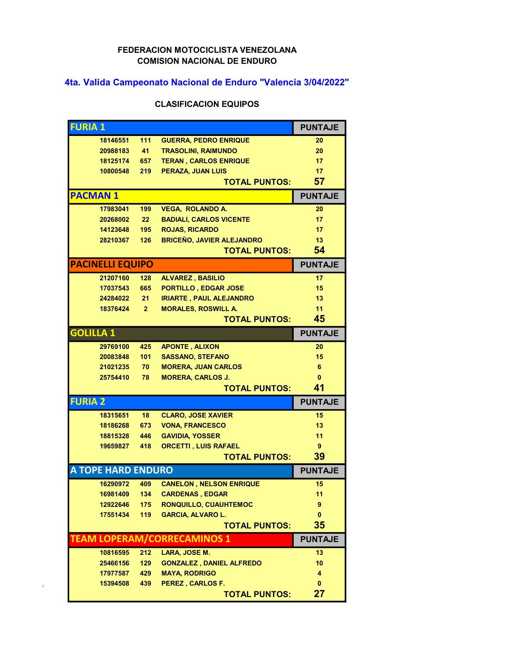## FEDERACION MOTOCICLISTA VENEZOLANA COMISION NACIONAL DE ENDURO

## 4ta. Valida Campeonato Nacional de Enduro "Valencia 3/04/2022"

## CLASIFICACION EQUIPOS

| <b>FURIA 1</b>   |                           |              |                                  | <b>PUNTAJE</b> |
|------------------|---------------------------|--------------|----------------------------------|----------------|
|                  | 18146551                  | 111          | <b>GUERRA, PEDRO ENRIQUE</b>     | 20             |
|                  | 20988183                  | 41           | <b>TRASOLINI, RAIMUNDO</b>       | 20             |
|                  | 18125174 657              |              | <b>TERAN, CARLOS ENRIQUE</b>     | 17             |
|                  | 10800548                  | 219          | PERAZA, JUAN LUIS                | 17             |
|                  |                           |              | <b>TOTAL PUNTOS:</b>             | 57             |
| <b>PACMAN1</b>   |                           |              |                                  | <b>PUNTAJE</b> |
|                  | 17983041                  | 199          | <b>VEGA, ROLANDO A.</b>          | 20             |
|                  | 20268002                  | 22           | <b>BADIALI, CARLOS VICENTE</b>   | 17             |
|                  | 14123648                  | 195          | <b>ROJAS, RICARDO</b>            | 17             |
|                  | 28210367                  | 126          | <b>BRICEÑO, JAVIER ALEJANDRO</b> | 13             |
|                  |                           |              | <b>TOTAL PUNTOS:</b>             | 54             |
|                  | <b>PACINELLI EQUIPO</b>   |              |                                  | <b>PUNTAJE</b> |
|                  | 21207160                  | 128          | <b>ALVAREZ, BASILIO</b>          | 17             |
|                  | 17037543                  | 665          | <b>PORTILLO, EDGAR JOSE</b>      | 15             |
|                  | 24284022 21               |              | <b>IRIARTE, PAUL ALEJANDRO</b>   | 13             |
|                  | 18376424                  | $\mathbf{2}$ | <b>MORALES, ROSWILL A.</b>       | 11             |
|                  |                           |              | <b>TOTAL PUNTOS:</b>             | 45             |
| <b>GOLILLA 1</b> |                           |              |                                  | <b>PUNTAJE</b> |
|                  | 29769100                  | 425          | <b>APONTE, ALIXON</b>            | 20             |
|                  | 20083848                  | 101          | <b>SASSANO, STEFANO</b>          | 15             |
|                  | 21021235                  | 70           | <b>MORERA, JUAN CARLOS</b>       | 6              |
|                  | 25754410                  | 78           | <b>MORERA, CARLOS J.</b>         | $\mathbf{0}$   |
|                  |                           |              | <b>TOTAL PUNTOS:</b>             | 41             |
| <b>FURIA 2</b>   |                           |              |                                  | <b>PUNTAJE</b> |
|                  | 18315651                  | 18           | <b>CLARO, JOSE XAVIER</b>        | 15             |
|                  | 18186268                  | 673          | <b>VONA, FRANCESCO</b>           | 13             |
|                  | 18815328 446              |              | <b>GAVIDIA, YOSSER</b>           | 11             |
|                  | 19659827                  | 418          | <b>ORCETTI, LUIS RAFAEL</b>      | 9              |
|                  |                           |              | <b>TOTAL PUNTOS:</b>             | 39             |
|                  | <b>A TOPE HARD ENDURO</b> |              |                                  | <b>PUNTAJE</b> |
|                  | 16290972                  | 409          | <b>CANELON, NELSON ENRIQUE</b>   | 15             |
|                  | 16981409                  | 134          | <b>CARDENAS, EDGAR</b>           | 11             |
|                  | 12922646                  | 175          | <b>RONQUILLO, CUAUHTEMOC</b>     | 9              |
|                  | 17551434                  | 119          | <b>GARCIA, ALVARO L.</b>         | 0              |
|                  |                           |              | <b>TOTAL PUNTOS:</b>             | 35             |
|                  |                           |              | TEAM LOPERAM/CORRECAMINOS 1      | <b>PUNTAJE</b> |
|                  | 10816595                  | 212          | LARA, JOSE M.                    | 13             |
|                  | 25466156                  | 129          | <b>GONZALEZ, DANIEL ALFREDO</b>  | 10             |
|                  | 17977587                  | 429          | <b>MAYA, RODRIGO</b>             | 4              |
|                  | 15394508                  | 439          | PEREZ, CARLOS F.                 | 0              |
|                  |                           |              | <b>TOTAL PUNTOS:</b>             | 27             |

 $\bar{z}$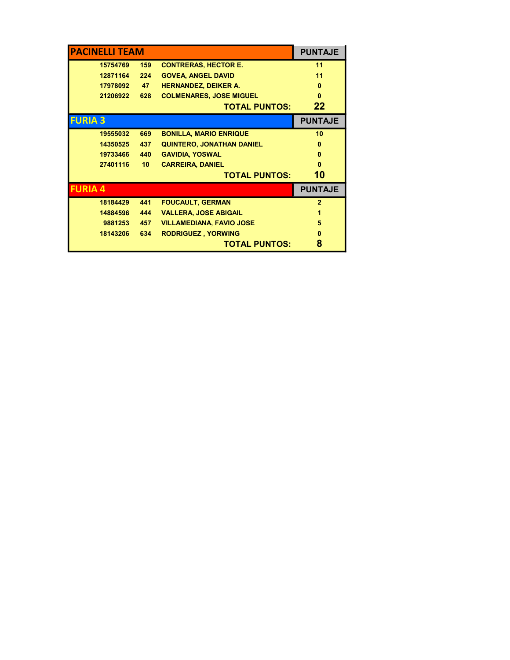| <b>PACINELLI TEAM</b> |          |                 |                                  | <b>PUNTAJE</b>  |
|-----------------------|----------|-----------------|----------------------------------|-----------------|
|                       | 15754769 | 159             | <b>CONTRERAS, HECTOR E.</b>      | 11              |
|                       | 12871164 | 224             | <b>GOVEA, ANGEL DAVID</b>        | 11              |
|                       | 17978092 | 47              | <b>HERNANDEZ, DEIKER A.</b>      | $\bf{0}$        |
|                       | 21206922 | 628             | <b>COLMENARES, JOSE MIGUEL</b>   | $\bf{0}$        |
|                       |          |                 | <b>TOTAL PUNTOS:</b>             | 22              |
| <b>FURIA 3</b>        |          |                 |                                  | <b>PUNTAJE</b>  |
|                       | 19555032 | 669             | <b>BONILLA, MARIO ENRIQUE</b>    | 10 <sup>°</sup> |
|                       | 14350525 | 437             | <b>QUINTERO, JONATHAN DANIEL</b> | $\bf{0}$        |
|                       | 19733466 | 440             | <b>GAVIDIA, YOSWAL</b>           | 0               |
|                       | 27401116 | 10 <sub>1</sub> | <b>CARREIRA, DANIEL</b>          | n               |
|                       |          |                 | <b>TOTAL PUNTOS:</b>             | 10              |
| <b>FURIA 4</b>        |          |                 |                                  | <b>PUNTAJE</b>  |
|                       | 18184429 | 441             | <b>FOUCAULT, GERMAN</b>          | $\overline{2}$  |
|                       | 14884596 | 444             | <b>VALLERA, JOSE ABIGAIL</b>     | 1               |
|                       | 9881253  | 457             | <b>VILLAMEDIANA, FAVIO JOSE</b>  | 5               |
|                       | 18143206 | 634             | <b>RODRIGUEZ, YORWING</b>        | $\bf{0}$        |
|                       |          |                 | <b>TOTAL PUNTOS:</b>             | 8               |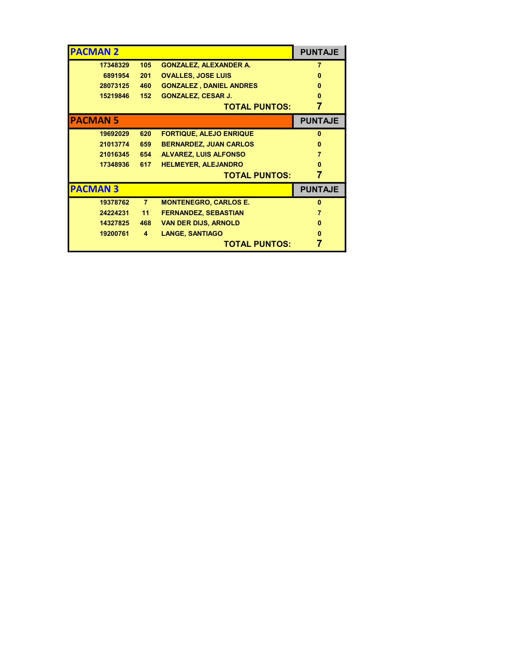| <b>PACMAN 2</b> |          |                         |                                | <b>PUNTAJE</b> |
|-----------------|----------|-------------------------|--------------------------------|----------------|
|                 | 17348329 | 105                     | <b>GONZALEZ, ALEXANDER A.</b>  |                |
|                 | 6891954  | 201                     | <b>OVALLES, JOSE LUIS</b>      | 0              |
|                 | 28073125 | 460                     | <b>GONZALEZ, DANIEL ANDRES</b> | n              |
|                 | 15219846 | 152                     | <b>GONZALEZ, CESAR J.</b>      | $\bf{0}$       |
|                 |          |                         | <b>TOTAL PUNTOS:</b>           |                |
| <b>PACMAN 5</b> |          |                         |                                | <b>PUNTAJE</b> |
|                 | 19692029 | 620                     | <b>FORTIQUE, ALEJO ENRIQUE</b> | $\mathbf{0}$   |
|                 | 21013774 | 659                     | <b>BERNARDEZ, JUAN CARLOS</b>  | 0              |
|                 | 21016345 | 654                     | <b>ALVAREZ, LUIS ALFONSO</b>   | 7              |
|                 | 17348936 | 617                     | <b>HELMEYER, ALEJANDRO</b>     | n              |
|                 |          |                         | <b>TOTAL PUNTOS:</b>           | 7              |
| <b>PACMAN3</b>  |          |                         |                                | <b>PUNTAJE</b> |
|                 | 19378762 | 7 <sup>7</sup>          | <b>MONTENEGRO, CARLOS E.</b>   | $\mathbf{0}$   |
|                 | 24224231 | 11                      | <b>FERNANDEZ, SEBASTIAN</b>    | 7              |
|                 | 14327825 | 468                     | <b>VAN DER DIJS, ARNOLD</b>    | $\bf{0}$       |
|                 | 19200761 | $\overline{\mathbf{4}}$ | <b>LANGE, SANTIAGO</b>         | 0              |
|                 |          |                         | <b>TOTAL PUNTOS:</b>           |                |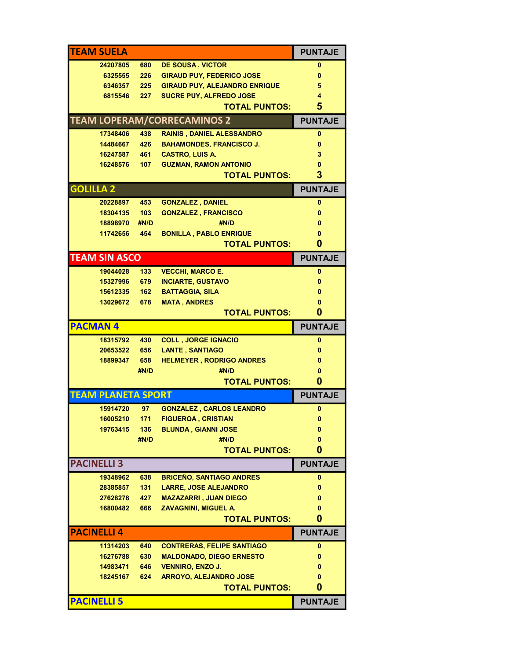|                           |      |                                      | <b>PUNTAJE</b>      |  |  |  |
|---------------------------|------|--------------------------------------|---------------------|--|--|--|
| 24207805                  | 680  | <b>DE SOUSA, VICTOR</b>              | 0                   |  |  |  |
| 6325555                   | 226  | <b>GIRAUD PUY, FEDERICO JOSE</b>     | 0                   |  |  |  |
| 6346357                   | 225  | <b>GIRAUD PUY, ALEJANDRO ENRIQUE</b> | 5                   |  |  |  |
| 6815546                   | 227  | SUCRE PUY, ALFREDO JOSE              | 4                   |  |  |  |
|                           |      | <b>TOTAL PUNTOS:</b>                 | 5                   |  |  |  |
|                           |      | <b>TEAM LOPERAM/CORRECAMINOS 2</b>   | <b>PUNTAJE</b>      |  |  |  |
| 17348406                  | 438  | <b>RAINIS, DANIEL ALESSANDRO</b>     | $\mathbf{0}$        |  |  |  |
| 14484667                  | 426  | <b>BAHAMONDES, FRANCISCO J.</b>      | $\bf{0}$            |  |  |  |
| 16247587                  | 461  | <b>CASTRO, LUIS A.</b>               | 3                   |  |  |  |
| 16248576                  | 107  | <b>GUZMAN, RAMON ANTONIO</b>         | 0                   |  |  |  |
| 3<br><b>TOTAL PUNTOS:</b> |      |                                      |                     |  |  |  |
| <b>GOLILLA 2</b>          |      |                                      | <b>PUNTAJE</b>      |  |  |  |
| 20228897                  | 453  | <b>GONZALEZ, DANIEL</b>              | $\bf{0}$            |  |  |  |
| 18304135                  | 103  | <b>GONZALEZ, FRANCISCO</b>           | 0                   |  |  |  |
| 18898970                  | #N/D | #N/D                                 | 0                   |  |  |  |
| 11742656                  | 454  | <b>BONILLA, PABLO ENRIQUE</b>        | 0                   |  |  |  |
|                           |      | <b>TOTAL PUNTOS:</b>                 | 0                   |  |  |  |
| <b>TEAM SIN ASCO</b>      |      |                                      | <b>PUNTAJE</b>      |  |  |  |
| 19044028                  | 133  | <b>VECCHI, MARCO E.</b>              | $\bf{0}$            |  |  |  |
| 15327996                  | 679  | <b>INCIARTE, GUSTAVO</b>             | 0                   |  |  |  |
| 15612335                  | 162  | <b>BATTAGGIA, SILA</b>               | $\bf{0}$            |  |  |  |
| 13029672                  | 678  | <b>MATA, ANDRES</b>                  | 0                   |  |  |  |
|                           |      | <b>TOTAL PUNTOS:</b>                 | 0                   |  |  |  |
| <b>PACMAN4</b>            |      |                                      | <b>PUNTAJE</b>      |  |  |  |
| 18315792                  | 430  | <b>COLL, JORGE IGNACIO</b>           | 0                   |  |  |  |
| 20653522                  | 656  | <b>LANTE, SANTIAGO</b>               | 0                   |  |  |  |
| 18899347                  | 658  | <b>HELMEYER, RODRIGO ANDRES</b>      | $\mathbf{0}$        |  |  |  |
|                           | #N/D | #N/D                                 | 0                   |  |  |  |
|                           |      |                                      |                     |  |  |  |
|                           |      | <b>TOTAL PUNTOS:</b>                 | 0                   |  |  |  |
| <b>TEAM PLANETA SPORT</b> |      |                                      | <b>PUNTAJE</b>      |  |  |  |
| 15914720                  | 97   | <b>GONZALEZ, CARLOS LEANDRO</b>      | 0                   |  |  |  |
|                           |      | 16005210 171 FIGUEROA, CRISTIAN      |                     |  |  |  |
| 19763415                  | 136  | <b>BLUNDA, GIANNI JOSE</b>           | 0                   |  |  |  |
|                           | #N/D | #N/D                                 | 0                   |  |  |  |
|                           |      | <b>TOTAL PUNTOS:</b>                 | 0                   |  |  |  |
| <b>PACINELLI 3</b>        |      |                                      | <b>PUNTAJE</b>      |  |  |  |
| 19348962                  | 638  | <b>BRICEÑO, SANTIAGO ANDRES</b>      | 0                   |  |  |  |
| 28385857                  | 131  | <b>LARRE, JOSE ALEJANDRO</b>         | 0                   |  |  |  |
| 27628278                  | 427  | <b>MAZAZARRI, JUAN DIEGO</b>         | 0                   |  |  |  |
| 16800482                  | 666  | <b>ZAVAGNINI, MIGUEL A.</b>          | 0                   |  |  |  |
|                           |      | <b>TOTAL PUNTOS:</b>                 | 0                   |  |  |  |
| <b>PACINELLI 4</b>        |      |                                      | <b>PUNTAJE</b>      |  |  |  |
| 11314203                  | 640  | <b>CONTRERAS, FELIPE SANTIAGO</b>    | 0                   |  |  |  |
| 16276788                  | 630  | <b>MALDONADO, DIEGO ERNESTO</b>      | 0                   |  |  |  |
| 14983471                  | 646  | <b>VENNIRO, ENZO J.</b>              | 0                   |  |  |  |
| 18245167                  | 624  | <b>ARROYO, ALEJANDRO JOSE</b>        | 0                   |  |  |  |
| <b>PACINELLI 5</b>        |      | <b>TOTAL PUNTOS:</b>                 | 0<br><b>PUNTAJE</b> |  |  |  |